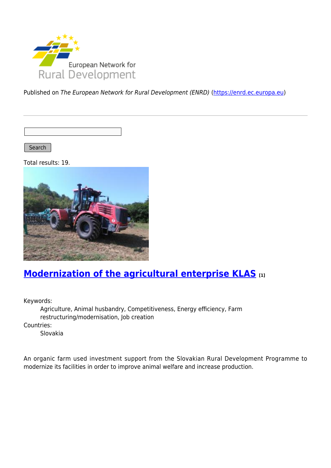

Published on The European Network for Rural Development (ENRD) [\(https://enrd.ec.europa.eu](https://enrd.ec.europa.eu))

Search |

Total results: 19.



### **[Modernization of the agricultural enterprise KLAS](https://enrd.ec.europa.eu/projects-practice/modernization-agricultural-enterprise-klas_en) [1]**

Keywords:

Agriculture, Animal husbandry, Competitiveness, Energy efficiency, Farm restructuring/modernisation, Job creation Countries: Slovakia

An organic farm used investment support from the Slovakian Rural Development Programme to modernize its facilities in order to improve animal welfare and increase production.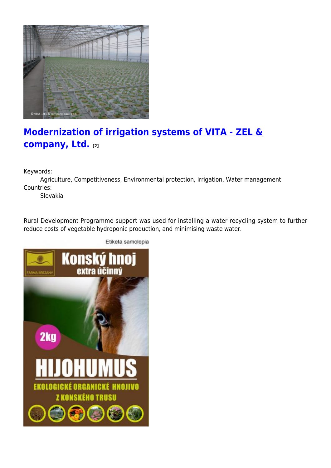

# **[Modernization of irrigation systems of VITA - ZEL &](https://enrd.ec.europa.eu/projects-practice/modernization-irrigation-systems-vita-zel-company-ltd_en) [company, Ltd.](https://enrd.ec.europa.eu/projects-practice/modernization-irrigation-systems-vita-zel-company-ltd_en) [2]**

Keywords:

Agriculture, Competitiveness, Environmental protection, Irrigation, Water management Countries:

Slovakia

Rural Development Programme support was used for installing a water recycling system to further reduce costs of vegetable hydroponic production, and minimising waste water.



Etiketa samolepia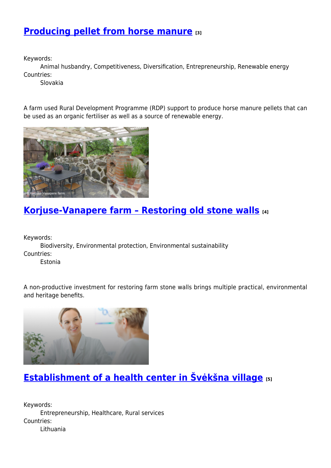#### **[Producing pellet from horse manure](https://enrd.ec.europa.eu/projects-practice/producing-pellet-horse-manure_en) [3]**

Keywords:

Animal husbandry, Competitiveness, Diversification, Entrepreneurship, Renewable energy Countries:

Slovakia

A farm used Rural Development Programme (RDP) support to produce horse manure pellets that can be used as an organic fertiliser as well as a source of renewable energy.



### **[Korjuse-Vanapere farm – Restoring old stone walls](https://enrd.ec.europa.eu/projects-practice/korjuse-vanapere-farm-restoring-old-stone-walls_en) [4]**

Keywords:

Biodiversity, Environmental protection, Environmental sustainability Countries:

Estonia

A non-productive investment for restoring farm stone walls brings multiple practical, environmental and heritage benefits.



## **[Establishment of a health center in Švėkšna village](https://enrd.ec.europa.eu/projects-practice/establishment-health-center-sveksna-village_en) [5]**

Keywords: Entrepreneurship, Healthcare, Rural services Countries: Lithuania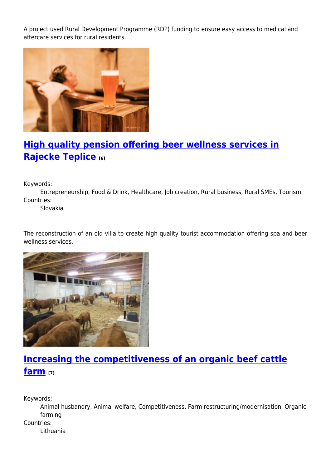A project used Rural Development Programme (RDP) funding to ensure easy access to medical and aftercare services for rural residents.



## **[High quality pension offering beer wellness services in](https://enrd.ec.europa.eu/projects-practice/high-quality-pension-offering-beer-wellness-services-rajecke-teplice_en) [Rajecke Teplice](https://enrd.ec.europa.eu/projects-practice/high-quality-pension-offering-beer-wellness-services-rajecke-teplice_en) [6]**

Keywords:

Entrepreneurship, Food & Drink, Healthcare, Job creation, Rural business, Rural SMEs, Tourism Countries:

Slovakia

The reconstruction of an old villa to create high quality tourist accommodation offering spa and beer wellness services.



# **[Increasing the competitiveness of an organic beef cattle](https://enrd.ec.europa.eu/projects-practice/increasing-competitiveness-organic-beef-cattle-farm_en) [farm](https://enrd.ec.europa.eu/projects-practice/increasing-competitiveness-organic-beef-cattle-farm_en) [7]**

Keywords:

Animal husbandry, Animal welfare, Competitiveness, Farm restructuring/modernisation, Organic farming Countries:

Lithuania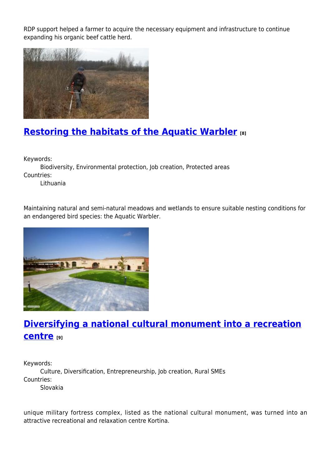RDP support helped a farmer to acquire the necessary equipment and infrastructure to continue expanding his organic beef cattle herd.



### **[Restoring the habitats of the Aquatic Warbler](https://enrd.ec.europa.eu/projects-practice/restoring-habitats-aquatic-warbler_en) [8]**

Keywords:

Biodiversity, Environmental protection, Job creation, Protected areas Countries:

Lithuania

Maintaining natural and semi-natural meadows and wetlands to ensure suitable nesting conditions for an endangered bird species: the Aquatic Warbler.



## **[Diversifying a national cultural monument into a recreation](https://enrd.ec.europa.eu/projects-practice/diversifying-national-cultural-monument-recreation-centre_en) [centre](https://enrd.ec.europa.eu/projects-practice/diversifying-national-cultural-monument-recreation-centre_en) [9]**

Keywords: Culture, Diversification, Entrepreneurship, Job creation, Rural SMEs Countries: Slovakia

unique military fortress complex, listed as the national cultural monument, was turned into an attractive recreational and relaxation centre Kortina.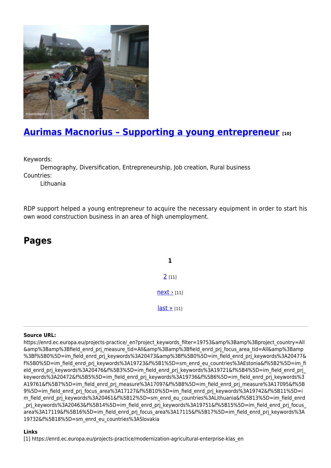

#### **[Aurimas Macnorius – Supporting a young entrepreneur](https://enrd.ec.europa.eu/projects-practice/aurimas-macnorius-supporting-young-entrepreneur_en) [10]**

Keywords:

Demography, Diversification, Entrepreneurship, Job creation, Rural business Countries:

Lithuania

RDP support helped a young entrepreneur to acquire the necessary equipment in order to start his own wood construction business in an area of high unemployment.

#### **Pages**

**1**  $2$  [11]  $next$  [11] [last »](https://enrd.ec.europa.eu/projects-practice/_en?page=1&project_keywords_filter=19753&%3Bamp%3Bproject_country=All&%3Bamp%3Bfield_enrd_prj_measure_tid=All&%3Bamp%3Bfield_enrd_prj_focus_area_tid=All&%3Bamp%3Bf%5B0%5D=im_field_enrd_prj_keywords%3A20473&%3Bf%5B0%5D=im_field_enrd_prj_keywords%3A20477&f%5B0%5D=im_field_enrd_prj_keywords%3A19723&f%5B1%5D=sm_enrd_eu_countries%3AEstonia&f%5B2%5D=im_field_enrd_prj_keywords%3A20476&f%5B3%5D=im_field_enrd_prj_keywords%3A19721&f%5B4%5D=im_field_enrd_prj_keywords%3A20472&f%5B5%5D=im_field_enrd_prj_keywords%3A19736&f%5B6%5D=im_field_enrd_prj_keywords%3A19761&f%5B7%5D=im_field_enrd_prj_measure%3A17097&f%5B8%5D=im_field_enrd_prj_measure%3A17095&f%5B9%5D=im_field_enrd_prj_focus_area%3A17127&f%5B10%5D=im_field_enrd_prj_keywords%3A19742&f%5B11%5D=im_field_enrd_prj_keywords%3A20461&f%5B12%5D=sm_enrd_eu_countries%3ALithuania&f%5B13%5D=im_field_enrd_prj_keywords%3A20463&f%5B14%5D=im_field_enrd_prj_keywords%3A19751&f%5B15%5D=im_field_enrd_prj_focus_area%3A17119&f%5B16%5D=im_field_enrd_prj_focus_area%3A17115&f%5B17%5D=im_field_enrd_prj_keywords%3A19732&f%5B18%5D=sm_enrd_eu_countries%3ASlovakia) [11]

#### **Source URL:**

https://enrd.ec.europa.eu/projects-practice/\_en?project\_keywords\_filter=19753&amp%3Bamp%3Bproject\_country=All &amp%3Bamp%3Bfield\_enrd\_prj\_measure\_tid=All&amp%3Bamp%3Bfield\_enrd\_prj\_focus\_area\_tid=All&amp%3Bamp %3Bf%5B0%5D=im\_field\_enrd\_prj\_keywords%3A20473&amp%3Bf%5B0%5D=im\_field\_enrd\_prj\_keywords%3A20477& f%5B0%5D=im\_field\_enrd\_prj\_keywords%3A19723&f%5B1%5D=sm\_enrd\_eu\_countries%3AEstonia&f%5B2%5D=im\_fi eld enrd prj keywords%3A20476&f%5B3%5D=im field enrd prj keywords%3A19721&f%5B4%5D=im field enrd prj keywords%3A20472&f%5B5%5D=im\_field\_enrd\_prj\_keywords%3A19736&f%5B6%5D=im\_field\_enrd\_prj\_keywords%3 A19761&f%5B7%5D=im\_field\_enrd\_prj\_measure%3A17097&f%5B8%5D=im\_field\_enrd\_prj\_measure%3A17095&f%5B 9%5D=im field enrd prj focus area%3A17127&f%5B10%5D=im field enrd prj keywords%3A19742&f%5B11%5D=i m\_field\_enrd\_prj\_keywords%3A20461&f%5B12%5D=sm\_enrd\_eu\_countries%3ALithuania&f%5B13%5D=im\_field\_enrd prj\_keywords%3A20463&f%5B14%5D=im\_field\_enrd\_prj\_keywords%3A19751&f%5B15%5D=im\_field\_enrd\_prj\_focus area%3A17119&f%5B16%5D=im\_field\_enrd\_prj\_focus\_area%3A17115&f%5B17%5D=im\_field\_enrd\_prj\_keywords%3A 19732&f%5B18%5D=sm\_enrd\_eu\_countries%3ASlovakia

#### **Links**

[1] https://enrd.ec.europa.eu/projects-practice/modernization-agricultural-enterprise-klas\_en